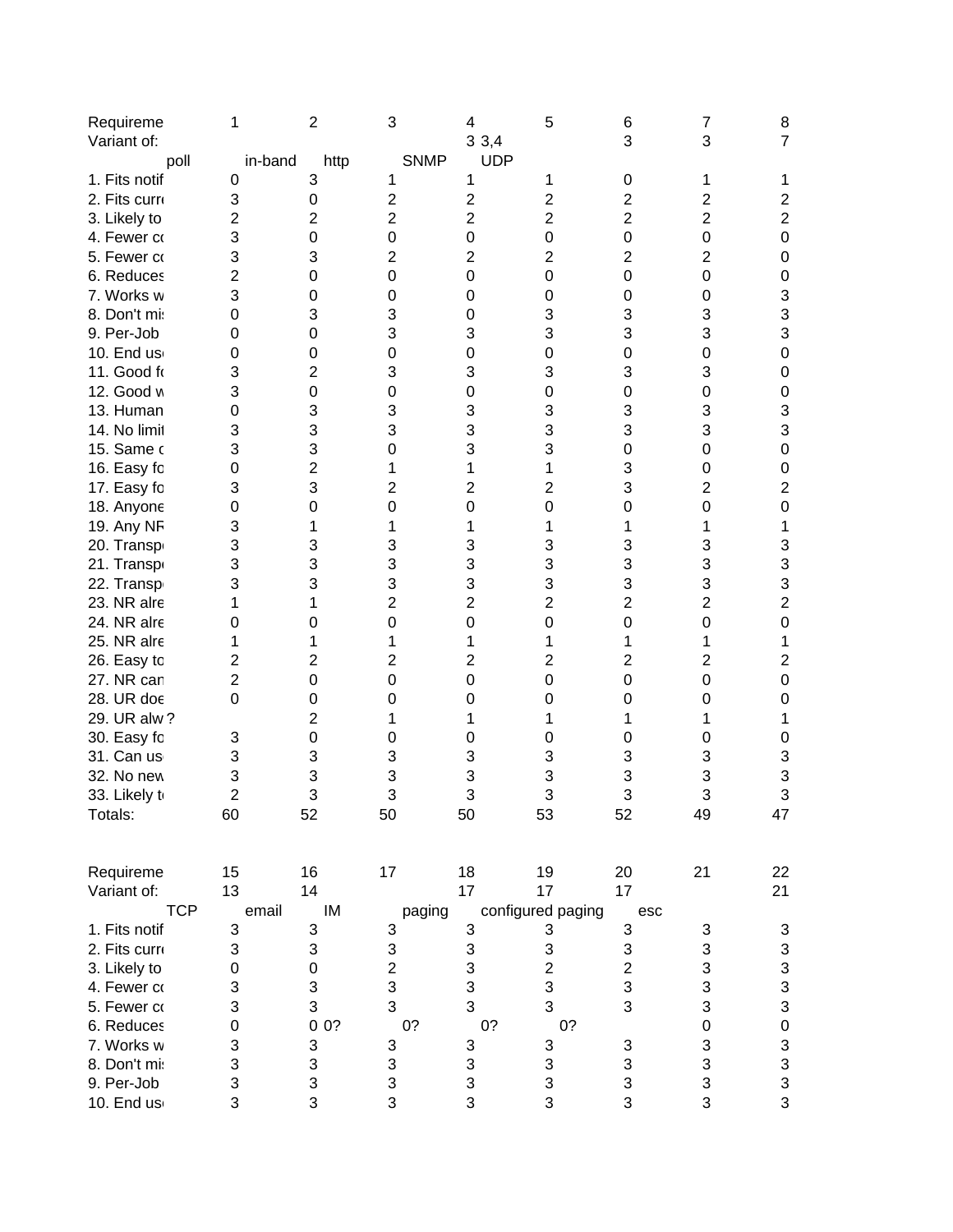| Requireme     | 1              | $\overline{c}$          | 3                         | 4              | 5                         | 6              | 7              | 8                                          |
|---------------|----------------|-------------------------|---------------------------|----------------|---------------------------|----------------|----------------|--------------------------------------------|
| Variant of:   |                |                         |                           | 33,4           |                           | 3              | 3              | $\overline{7}$                             |
| poll          | in-band        | http                    | <b>SNMP</b>               | <b>UDP</b>     |                           |                |                |                                            |
| 1. Fits notif | 0              | 3                       | 1                         | 1              | 1                         | 0              | 1              | 1                                          |
| 2. Fits curro | 3              | 0                       | $\overline{\mathbf{c}}$   | 2              | $\mathbf{2}$              | $\overline{c}$ | $\overline{2}$ | $\mathbf{2}$                               |
| 3. Likely to  | $\overline{2}$ | $\overline{2}$          | $\overline{2}$            | $\overline{2}$ | $\overline{2}$            | $\overline{2}$ | $\overline{2}$ | $\overline{2}$                             |
| 4. Fewer co   | 3              | 0                       | 0                         | 0              | 0                         | 0              | $\mathbf 0$    | $\boldsymbol{0}$                           |
| 5. Fewer co   | 3              | 3                       | $\overline{2}$            | $\overline{2}$ | 2                         | 2              | $\overline{2}$ | $\mathbf 0$                                |
| 6. Reduces    | 2              | $\mathbf 0$             | $\mathbf 0$               | 0              | 0                         | 0              | 0              | $\mathbf 0$                                |
| 7. Works w    | 3              | 0                       | 0                         | 0              | 0                         | 0              | 0              | 3                                          |
| 8. Don't mi:  | 0              | 3                       | 3                         | 0              | 3                         | 3              | 3              | 3                                          |
| 9. Per-Job    | 0              | 0                       | 3                         | 3              | 3                         | 3              | 3              | 3                                          |
| 10. End us    | 0              | 0                       | $\mathbf 0$               | 0              | 0                         | 0              | 0              | $\mathbf 0$                                |
| 11. Good fo   | 3              | $\overline{\mathbf{c}}$ | 3                         | 3              | 3                         | 3              | 3              | 0                                          |
| 12. Good w    | 3              | $\mathbf 0$             | 0                         | 0              | 0                         | 0              | 0              | 0                                          |
| 13. Human     | 0              | 3                       | 3                         | 3              | 3                         | 3              | 3              | 3                                          |
| 14. No limit  | 3              | 3                       | 3                         | 3              | 3                         | 3              | 3              | 3                                          |
| 15. Same o    | 3              | 3                       | 0                         | 3              | 3                         | 0              | 0              | $\mathbf 0$                                |
|               | 0              | $\overline{c}$          | 1                         | 1              | 1                         | 3              | 0              | 0                                          |
| 16. Easy fo   | 3              | 3                       | $\overline{2}$            | 2              |                           | 3              | $\overline{2}$ | $\overline{2}$                             |
| 17. Easy fo   |                |                         |                           |                | 2                         |                |                |                                            |
| 18. Anyone    | 0              | $\mathbf 0$             | 0                         | 0              | 0                         | 0              | $\mathbf 0$    | $\mathbf 0$                                |
| 19. Any NF    | 3              | 1                       | 1                         | 1              | 1                         | 1              | 1              | 1                                          |
| 20. Transp    | 3              | 3                       | 3                         | 3              | 3                         | 3              | 3              | 3                                          |
| 21. Transpo   | 3              | 3                       | 3                         | 3              | 3                         | 3              | 3              | 3                                          |
| 22. Transp    | 3              | 3                       | 3                         | 3              | 3                         | 3              | 3              | 3                                          |
| 23. NR alre   | 1              | 1                       | $\overline{c}$            | $\overline{2}$ | 2                         | $\overline{2}$ | $\overline{2}$ | $\overline{c}$                             |
| 24. NR alre   | 0              | 0                       | 0                         | $\mathbf 0$    | 0                         | 0              | $\Omega$       | $\mathbf 0$                                |
| 25. NR alre   | 1              | 1                       | 1                         | 1              | 1                         | 1              | 1              | 1                                          |
| 26. Easy to   | 2              | 2                       | $\overline{2}$            | 2              | 2                         | $\overline{2}$ | $\overline{2}$ | $\overline{2}$                             |
| 27. NR can    | 2              | 0                       | 0                         | 0              | 0                         | 0              | 0              | 0                                          |
| 28. UR doe    | $\Omega$       | 0                       | 0                         | 0              | 0                         | 0              | 0              | 0                                          |
| 29. UR alw ?  |                | $\overline{c}$          | 1                         |                |                           | 1              | 1              | 1                                          |
| 30. Easy fo   | 3              | 0                       | 0                         | 0              | 0                         | 0              | 0              | 0                                          |
| 31. Can us    | 3              | 3                       | 3                         | 3              | 3                         | 3              | 3              | 3                                          |
| 32. No new    | 3              | 3                       | 3                         | 3              | 3                         | 3              | 3              | 3                                          |
| 33. Likely to | $\overline{2}$ | 3                       | 3                         | 3              | 3                         | 3              | 3              | 3                                          |
| Totals:       | 60             | 52                      | 50                        | 50             | 53                        | 52             | 49             | 47                                         |
| Requireme     | 15             | 16                      | 17                        | 18             | 19                        | 20             | 21             | 22                                         |
| Variant of:   | 13             | 14                      |                           | 17             | 17                        | 17             |                |                                            |
|               |                |                         |                           |                |                           |                |                | 21                                         |
| <b>TCP</b>    | email          | IM                      | paging                    |                | configured paging         | esc            |                |                                            |
| 1. Fits notif | 3              | 3                       | 3                         | 3              | 3                         | 3              | 3              | 3                                          |
| 2. Fits curre | 3              | 3                       | 3                         | 3              | $\ensuremath{\mathsf{3}}$ | 3              | 3              | $\begin{array}{c} 3 \\ 3 \\ 3 \end{array}$ |
| 3. Likely to  | 0              | $\mathbf 0$             | $\overline{c}$            | 3              | $\overline{c}$            | $\overline{c}$ | 3              |                                            |
| 4. Fewer co   | 3              | 3                       | 3                         | 3              | 3                         | 3              | 3              |                                            |
| 5. Fewer co   | 3              | 3                       | 3                         | 3              | 3                         | 3              | 3              |                                            |
| 6. Reduces    | 0              | 00?                     | 0?                        | 0?             | 0?                        |                | $\mathbf 0$    | $\bf{0}$                                   |
| 7. Works w    | 3              | 3                       | $\ensuremath{\mathsf{3}}$ | 3              | $\ensuremath{\mathsf{3}}$ | 3              | 3              | $\frac{3}{3}$                              |
| 8. Don't mi:  | 3              | 3                       | $\ensuremath{\mathsf{3}}$ | 3              | 3                         | 3              | 3              |                                            |
| 9. Per-Job    | 3              | 3                       | 3                         | 3              | 3                         | 3              | 3              | 3                                          |

10. End users and operators -> operators only 3 3 3 3 3 3 3 3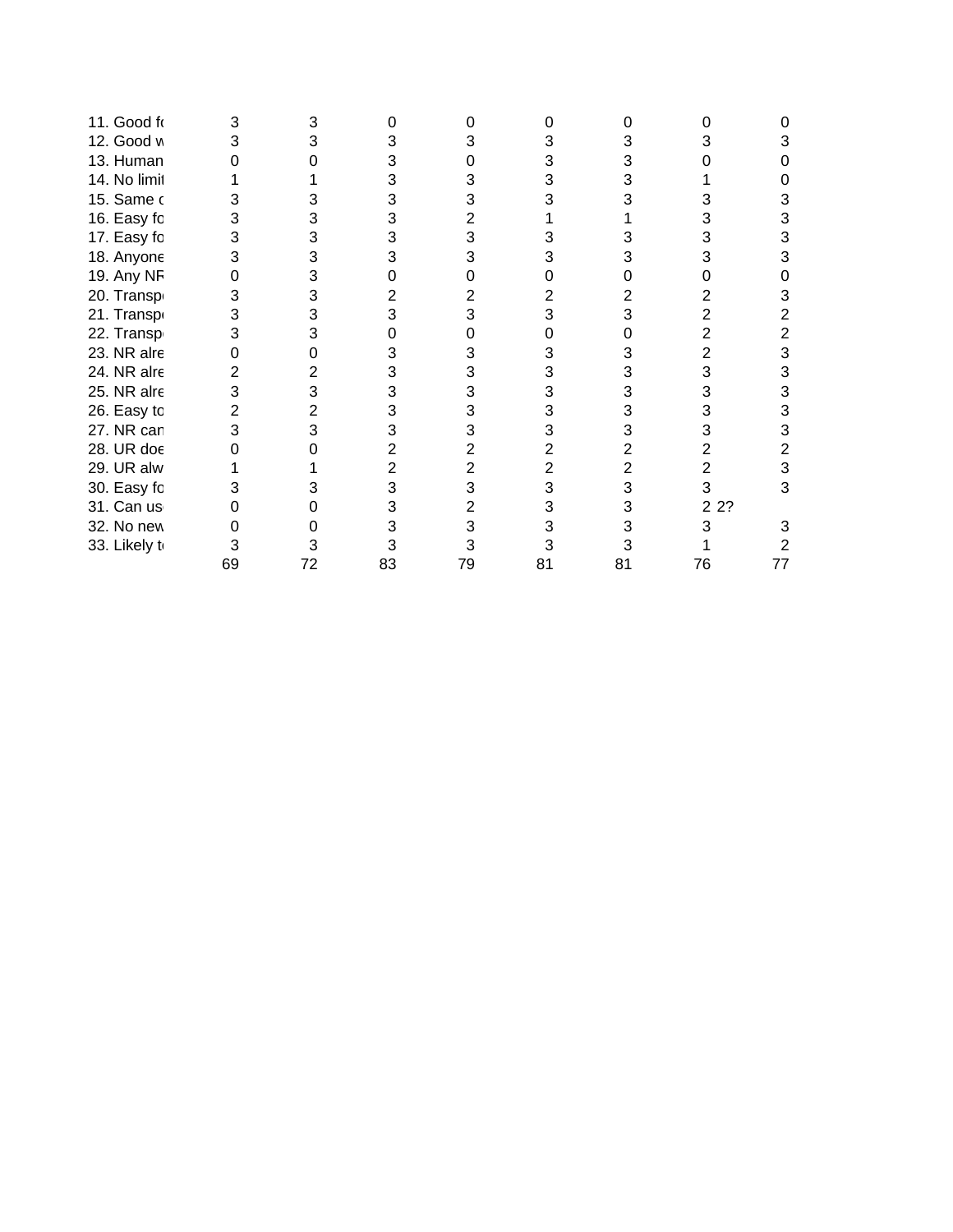| 11. Good fo   |    |    |    |    |    |    |      |    |
|---------------|----|----|----|----|----|----|------|----|
| 12. Good w    |    |    |    |    | 3  |    |      |    |
| 13. Human     |    |    |    |    | 3  | 3  |      |    |
| 14. No limit  |    |    |    |    | 3  | 3  |      |    |
| 15. Same o    |    |    |    |    |    |    |      |    |
| 16. Easy fo   |    |    |    |    |    |    |      |    |
| 17. Easy fo   |    |    |    |    | 3  |    |      |    |
| 18. Anyone    |    | 3  |    |    |    |    |      |    |
| 19. Any NF    |    | 3  |    |    |    |    |      |    |
| 20. Transp    |    | 3  |    |    |    |    |      |    |
| 21. Transpo   | 3  | 3  |    |    |    | 3  |      |    |
| 22. Transp    |    |    |    |    |    |    |      |    |
| 23. NR alre   |    |    |    |    | З  | 3  |      |    |
| 24. NR alre   |    |    |    |    | 3  | 3  | 3    |    |
| 25. NR alre   |    | 3  |    |    | 3  | 3  | 3    |    |
| 26. Easy to   |    |    |    |    | 3  | 3  | 3    |    |
| 27. NR can    |    |    |    |    | 3  | 3  | 3    |    |
| 28. UR doe    |    |    |    |    |    | 2  | 2    |    |
| 29. UR alw    |    |    |    |    |    | 2  |      |    |
| 30. Easy fo   |    |    |    |    | 3  | 3  | 3    | 3  |
| 31. Can us    |    |    |    |    | 3  | 3  | 2 2? |    |
| 32. No new    |    |    |    |    | 3  | 3  | 3    |    |
| 33. Likely to |    |    |    |    |    |    |      |    |
|               | 69 | 72 | 83 | 79 | 81 | 81 | 76   | 77 |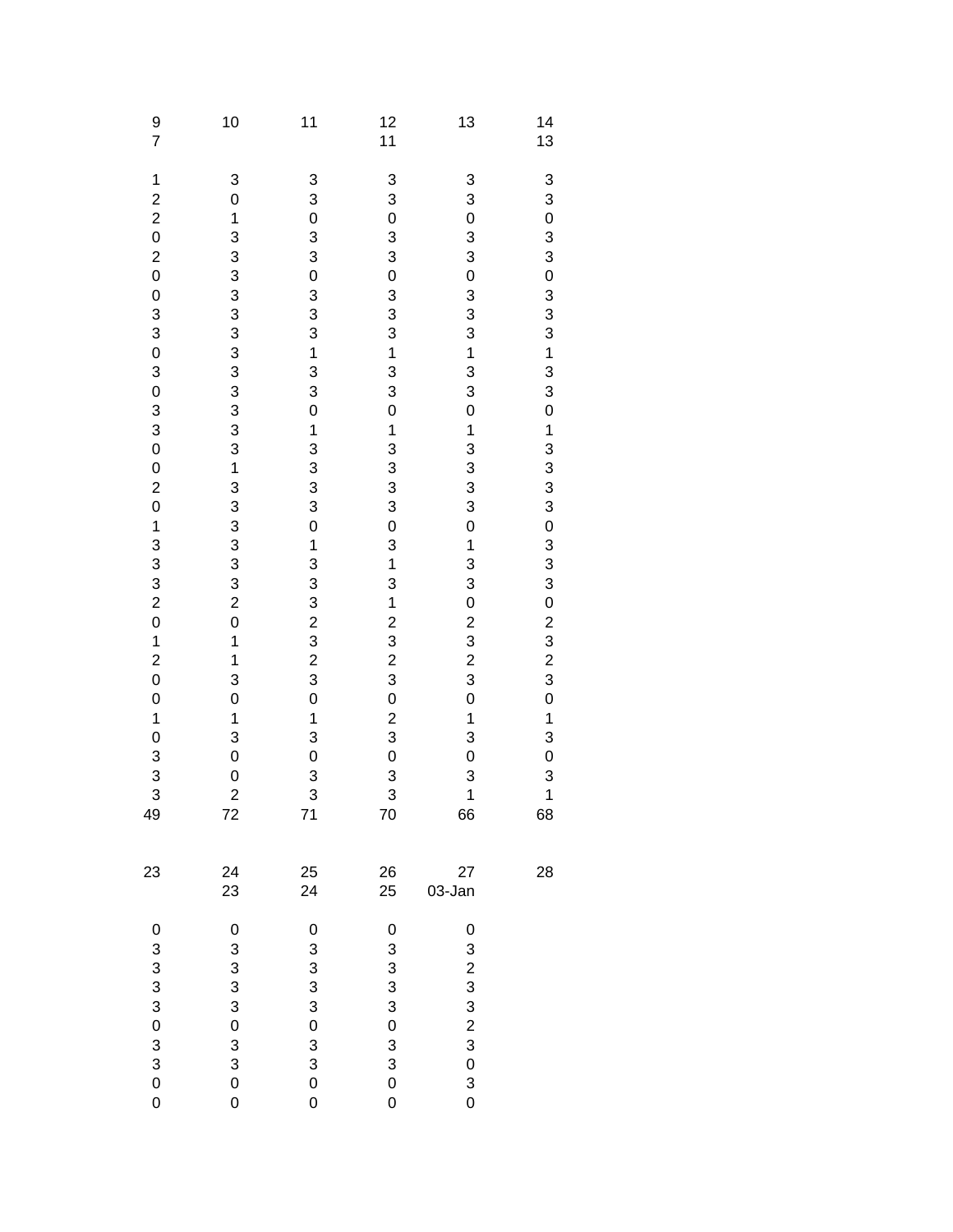| $\frac{9}{7}$                                                                                                                                                                                      | 10                                                                                                                                                                                       | 11                                                                                      | 12<br>11                                                                                                                                                                                                                                             | 13                                                                                                                                                                                                                                                                                               | 14<br>13                                                                |
|----------------------------------------------------------------------------------------------------------------------------------------------------------------------------------------------------|------------------------------------------------------------------------------------------------------------------------------------------------------------------------------------------|-----------------------------------------------------------------------------------------|------------------------------------------------------------------------------------------------------------------------------------------------------------------------------------------------------------------------------------------------------|--------------------------------------------------------------------------------------------------------------------------------------------------------------------------------------------------------------------------------------------------------------------------------------------------|-------------------------------------------------------------------------|
| 1<br>2 2 0 2 0 0 3 3 0 3 0 3 3 0 0 2 0 1 3 3 3 2 0<br>$\begin{array}{c} 1 \\ 2 \\ 0 \\ 0 \end{array}$<br>$\begin{array}{c} 1 \\ 0 \end{array}$<br>$\begin{array}{c} 3 \\ 3 \\ 3 \end{array}$<br>49 | 3<br>$\mathbf 0$<br>$\frac{1}{3}$<br>333333333313333320<br>$\mathbf{1}$<br>$\mathbf{1}$<br>3<br>$\mathbf 0$<br>$\overline{1}$<br>3<br>$\mathbf 0$<br>$\mathbf 0$<br>$\overline{c}$<br>72 | 330330331330<br>133330133323230<br>$\frac{1}{3}$<br>$\mathbf{o}$<br>$\frac{3}{3}$<br>71 | $\begin{bmatrix} 3 \\ 3 \\ 0 \end{bmatrix}$<br>$\begin{array}{c} 3 \\ 3 \\ 0 \end{array}$<br>$33313$<br>$333$<br>$\mathbf 0$<br>$\mathbf{1}$<br>$33303$<br>$03$<br>$\frac{1}{3}$<br>123230<br>$\frac{2}{3}$<br>$\overline{0}$<br>$\frac{3}{3}$<br>70 | 3<br>3<br>$\mathbf 0$<br>3<br>3<br>$\overline{0}$<br>$33313$<br>$333$<br>$\overline{0}$<br>$\mathbf 1$<br>3<br>$\begin{array}{c} 3 \\ 3 \\ 3 \end{array}$<br>$\mathbf 0$<br>$\mathbf{1}$<br>3<br>3<br>0 2 3 2 3 2 3<br>$\mathbf{0}$<br>$\mathbf 1$<br>3<br>$\mathbf 0$<br>3<br>$\mathbf 1$<br>66 | 3 3 0 3 3 0 3 3 3 4 3 3 0 1 3 3 3 3 0 3 3 3 0 2 3 2 3 0 1 3 0 3 1<br>68 |
| 23                                                                                                                                                                                                 | 24<br>23                                                                                                                                                                                 | 25<br>24                                                                                | 26<br>25                                                                                                                                                                                                                                             | 27<br>03-Jan                                                                                                                                                                                                                                                                                     | 28                                                                      |
| $\pmb{0}$<br>$\begin{array}{c} 3 \\ 3 \\ 3 \end{array}$<br>$\mathbf{0}$<br>$\frac{3}{3}$<br>$\mathbf{O}$<br>$\overline{0}$                                                                         | $\mathbf 0$<br>$\begin{array}{c} 3 \\ 3 \\ 3 \end{array}$<br>$\mathbf 0$<br>3<br>3<br>$\overline{0}$<br>$\overline{0}$                                                                   | $\mathbf 0$<br>3<br>3<br>$\frac{3}{3}$<br>$\mathbf 0$<br>3<br>3<br>$\mathbf 0$<br>0     | 0<br>3<br>3<br>3<br>3<br>0<br>3<br>3<br>$\overline{0}$<br>0                                                                                                                                                                                          | 0<br>3<br>$\begin{array}{c}\n2 \\ 3 \\ 2\n\end{array}$<br>3<br>$\mathbf 0$<br>3<br>$\mathbf 0$                                                                                                                                                                                                   |                                                                         |